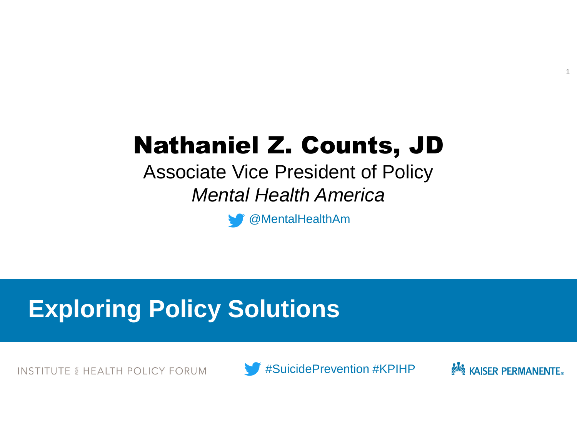# Nathaniel Z. Counts, JD

Associate Vice President of Policy *Mental Health America*

@MentalHealthAm

## **Exploring Policy Solutions**

**INSTITUTE & HEALTH POLICY FORUM** 





1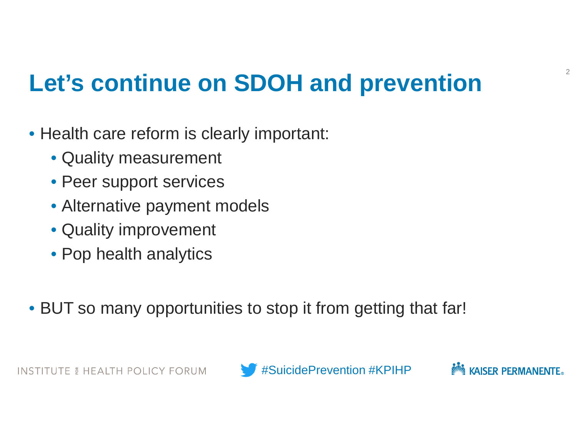## **Let's continue on SDOH and prevention**

- Health care reform is clearly important:
	- Quality measurement
	- Peer support services
	- Alternative payment models
	- Quality improvement
	- Pop health analytics
- BUT so many opportunities to stop it from getting that far!

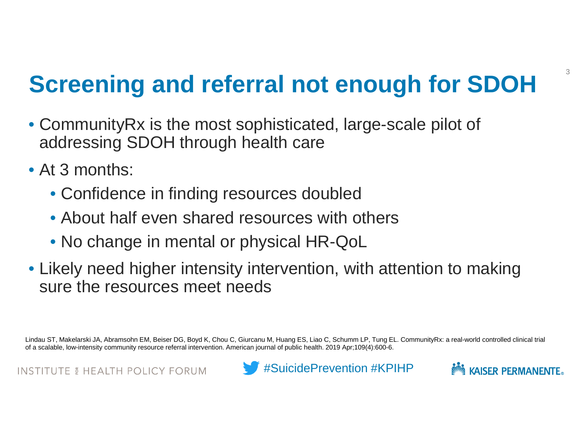## **Screening and referral not enough for SDOH**

- CommunityRx is the most sophisticated, large-scale pilot of addressing SDOH through health care
- At 3 months:
	- Confidence in finding resources doubled
	- About half even shared resources with others
	- No change in mental or physical HR-QoL
- Likely need higher intensity intervention, with attention to making sure the resources meet needs

Lindau ST, Makelarski JA, Abramsohn EM, Beiser DG, Boyd K, Chou C, Giurcanu M, Huang ES, Liao C, Schumm LP, Tung EL. CommunityRx: a real-world controlled clinical trial of a scalable, low-intensity community resource referral intervention. American journal of public health. 2019 Apr;109(4):600-6.



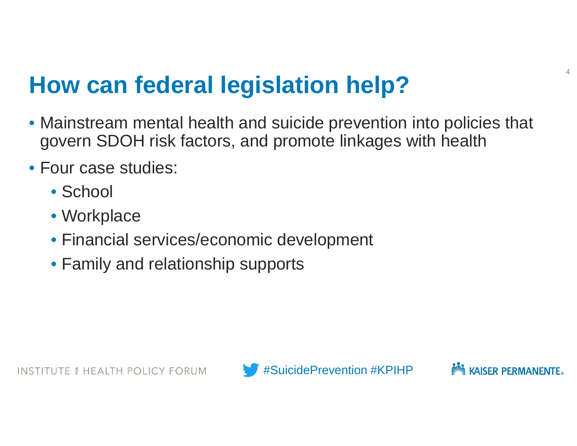### **How can federal legislation help?**

- Mainstream mental health and suicide prevention into policies that govern SDOH risk factors, and promote linkages with health
- Four case studies:
	- School
	- Workplace
	- Financial services/economic development
	- Family and relationship supports



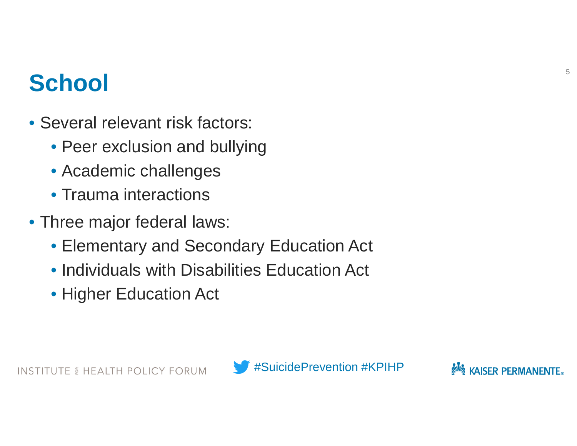### **School**

- Several relevant risk factors:
	- Peer exclusion and bullying
	- Academic challenges
	- Trauma interactions
- Three major federal laws:
	- Elementary and Secondary Education Act
	- Individuals with Disabilities Education Act
	- Higher Education Act

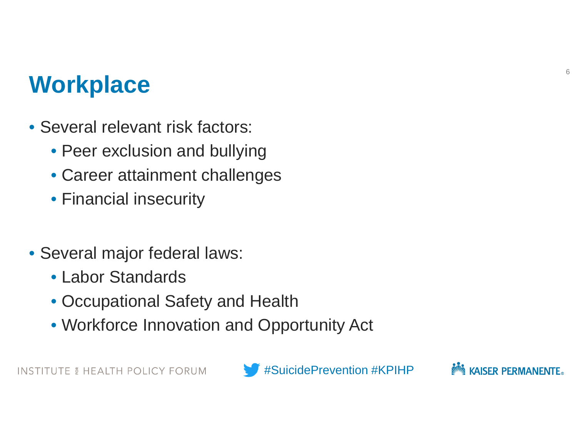### **Workplace**

- Several relevant risk factors:
	- Peer exclusion and bullying
	- Career attainment challenges
	- Financial insecurity
- Several major federal laws:
	- Labor Standards
	- Occupational Safety and Health
	- Workforce Innovation and Opportunity Act

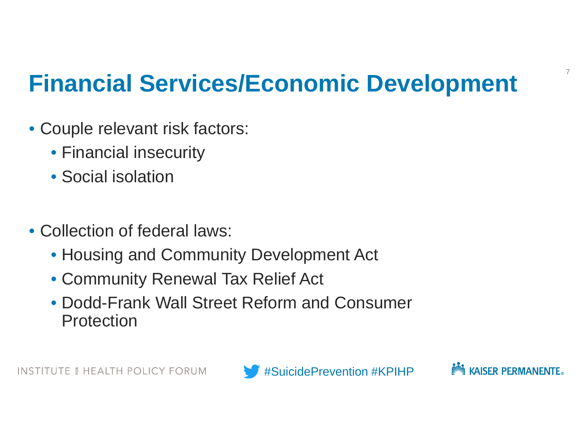## **Financial Services/Economic Development**

- Couple relevant risk factors:
	- Financial insecurity
	- Social isolation
- Collection of federal laws:
	- Housing and Community Development Act
	- Community Renewal Tax Relief Act
	- Dodd-Frank Wall Street Reform and Consumer **Protection**



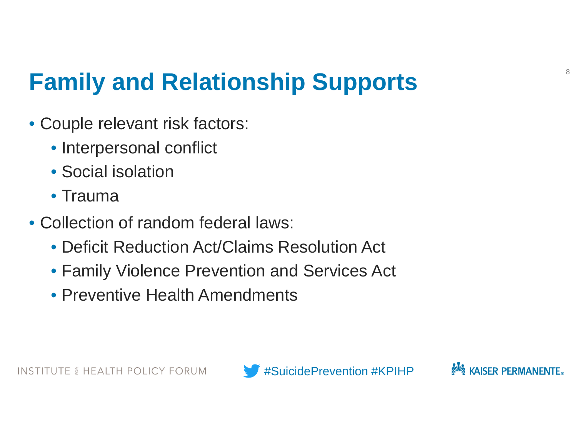## **Family and Relationship Supports**

- Couple relevant risk factors:
	- Interpersonal conflict
	- Social isolation
	- Trauma
- Collection of random federal laws:
	- Deficit Reduction Act/Claims Resolution Act
	- Family Violence Prevention and Services Act
	- Preventive Health Amendments